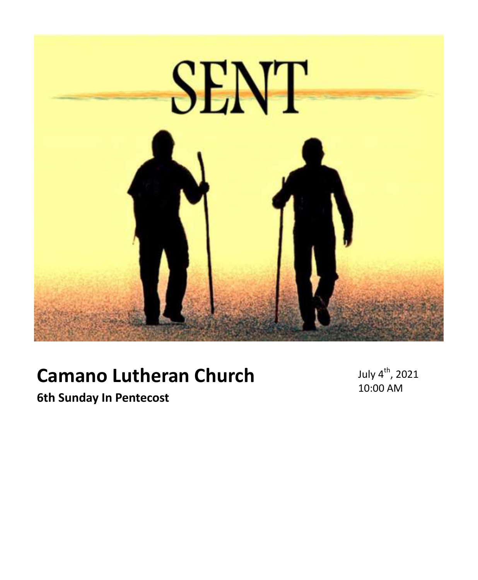

# **Camano Lutheran Church**

July 4<sup>th</sup>, 2021 10:00 AM

**6th Sunday In Pentecost**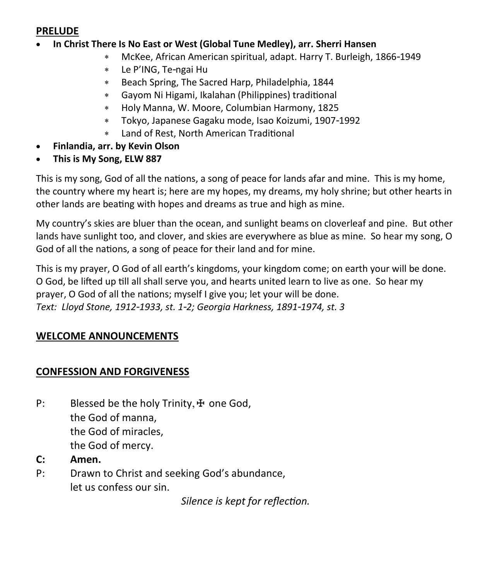#### **PRELUDE**

- **In Christ There Is No East or West (Global Tune Medley), arr. Sherri Hansen**
	- McKee, African American spiritual, adapt. Harry T. Burleigh, 1866-1949
	- Le P'ING, Te-ngai Hu
	- Beach Spring, The Sacred Harp, Philadelphia, 1844
	- Gayom Ni Higami, Ikalahan (Philippines) traditional
	- Holy Manna, W. Moore, Columbian Harmony, 1825
	- Tokyo, Japanese Gagaku mode, Isao Koizumi, 1907-1992
	- Land of Rest, North American Traditional
- **Finlandia, arr. by Kevin Olson**
- **This is My Song, ELW 887**

This is my song, God of all the nations, a song of peace for lands afar and mine. This is my home, the country where my heart is; here are my hopes, my dreams, my holy shrine; but other hearts in other lands are beating with hopes and dreams as true and high as mine.

My country's skies are bluer than the ocean, and sunlight beams on cloverleaf and pine. But other lands have sunlight too, and clover, and skies are everywhere as blue as mine. So hear my song, O God of all the nations, a song of peace for their land and for mine.

This is my prayer, O God of all earth's kingdoms, your kingdom come; on earth your will be done. O God, be lifted up till all shall serve you, and hearts united learn to live as one. So hear my prayer, O God of all the nations; myself I give you; let your will be done. *Text: Lloyd Stone, 1912-1933, st. 1-2; Georgia Harkness, 1891-1974, st. 3*

### **WELCOME ANNOUNCEMENTS**

### **CONFESSION AND FORGIVENESS**

- P: Blessed be the holy Trinity,  $\pm$  one God, the God of manna, the God of miracles, the God of mercy.
- **C: Amen.**
- P: Drawn to Christ and seeking God's abundance, let us confess our sin.

*Silence is kept for reflection.*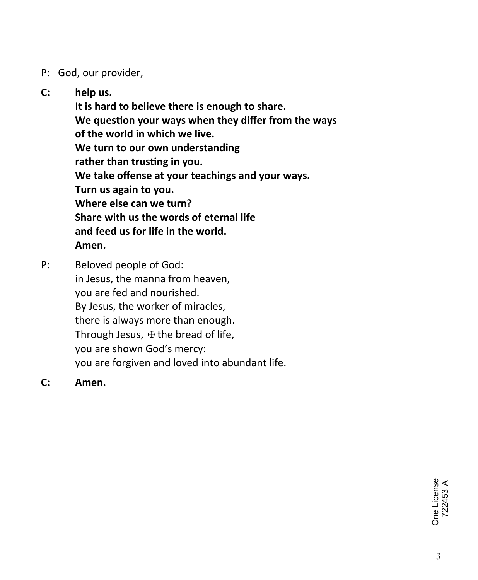## P: God, our provider,

# **C: help us.**

**It is hard to believe there is enough to share. We question your ways when they differ from the ways of the world in which we live. We turn to our own understanding rather than trusting in you. We take offense at your teachings and your ways. Turn us again to you. Where else can we turn? Share with us the words of eternal life and feed us for life in the world. Amen.**

P: Beloved people of God: in Jesus, the manna from heaven, you are fed and nourished. By Jesus, the worker of miracles, there is always more than enough. Through Jesus, **⊕**the bread of life, you are shown God's mercy: you are forgiven and loved into abundant life.

**C: Amen.**

One License<br>722453-A One License 722453-A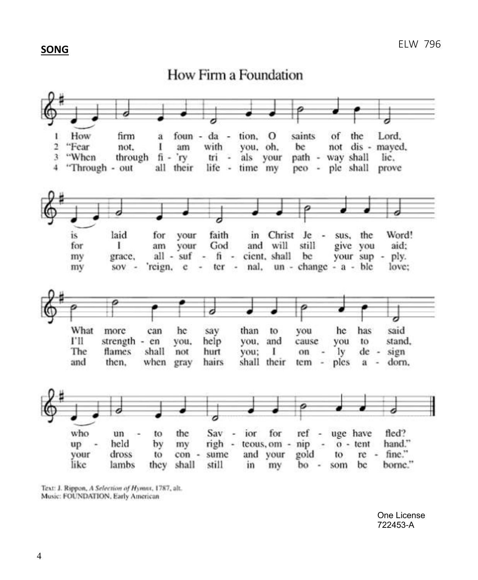#### **SONG**

How Firm a Foundation



Text: J. Rippon, A Selection of Hymnx, 1787, alt. Music: FOUNDATION, Early American

> One License 722453-A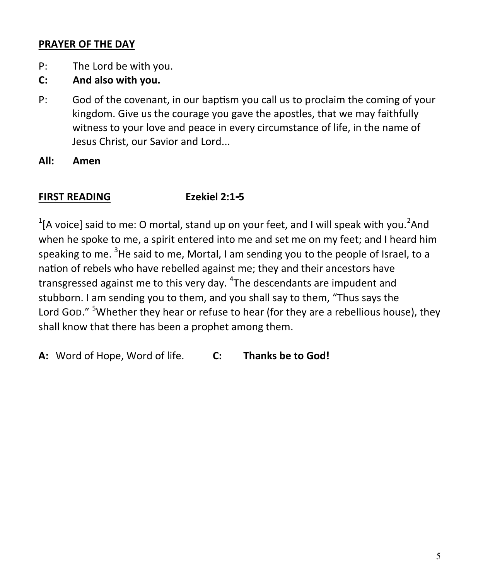### **PRAYER OF THE DAY**

- P: The Lord be with you.
- **C: And also with you.**
- P: God of the covenant, in our baptism you call us to proclaim the coming of your kingdom. Give us the courage you gave the apostles, that we may faithfully witness to your love and peace in every circumstance of life, in the name of Jesus Christ, our Savior and Lord...
- **All: Amen**

# **FIRST READING Ezekiel 2:1-5**

 $1$ [A voice] said to me: O mortal, stand up on your feet, and I will speak with you.<sup>2</sup>And when he spoke to me, a spirit entered into me and set me on my feet; and I heard him speaking to me. <sup>3</sup>He said to me, Mortal, I am sending you to the people of Israel, to a nation of rebels who have rebelled against me; they and their ancestors have transgressed against me to this very day. <sup>4</sup>The descendants are impudent and stubborn. I am sending you to them, and you shall say to them, "Thus says the Lord God." <sup>5</sup>Whether they hear or refuse to hear (for they are a rebellious house), they shall know that there has been a prophet among them.

**A:** Word of Hope, Word of life. **C: Thanks be to God!**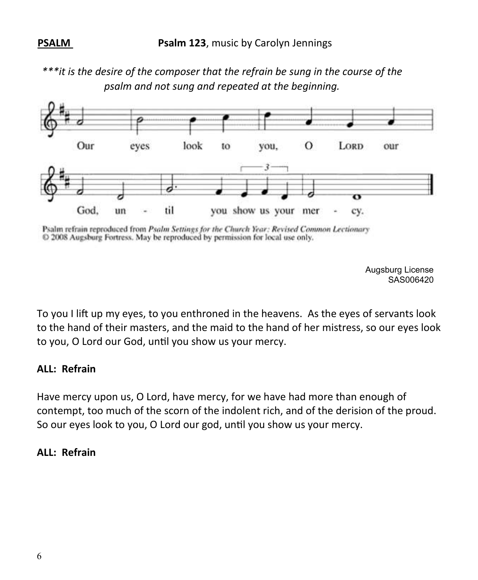*\*\*\*it is the desire of the composer that the refrain be sung in the course of the psalm and not sung and repeated at the beginning.*



Psalm refrain reproduced from Psalm Settings for the Church Year: Revised Common Lectionary © 2008 Augsburg Fortress. May be reproduced by permission for local use only.

> Augsburg License SAS006420

To you I lift up my eyes, to you enthroned in the heavens. As the eyes of servants look to the hand of their masters, and the maid to the hand of her mistress, so our eyes look to you, O Lord our God, until you show us your mercy.

#### **ALL: Refrain**

Have mercy upon us, O Lord, have mercy, for we have had more than enough of contempt, too much of the scorn of the indolent rich, and of the derision of the proud. So our eyes look to you, O Lord our god, until you show us your mercy.

#### **ALL: Refrain**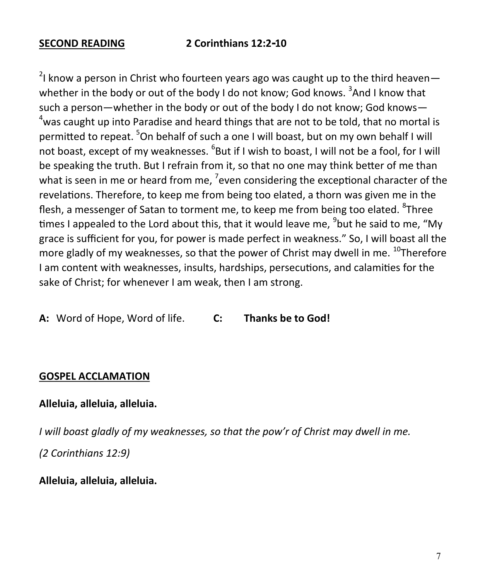$2$ I know a person in Christ who fourteen years ago was caught up to the third heaven whether in the body or out of the body I do not know; God knows.  $3$ And I know that such a person—whether in the body or out of the body I do not know; God knows—  $4$ was caught up into Paradise and heard things that are not to be told, that no mortal is permitted to repeat. <sup>5</sup>On behalf of such a one I will boast, but on my own behalf I will not boast, except of my weaknesses. <sup>6</sup>But if I wish to boast, I will not be a fool, for I will be speaking the truth. But I refrain from it, so that no one may think better of me than what is seen in me or heard from me, <sup>7</sup>even considering the exceptional character of the revelations. Therefore, to keep me from being too elated, a thorn was given me in the flesh, a messenger of Satan to torment me, to keep me from being too elated. <sup>8</sup>Three times I appealed to the Lord about this, that it would leave me, <sup>9</sup>but he said to me, "My grace is sufficient for you, for power is made perfect in weakness." So, I will boast all the more gladly of my weaknesses, so that the power of Christ may dwell in me.  $^{10}$ Therefore I am content with weaknesses, insults, hardships, persecutions, and calamities for the sake of Christ; for whenever I am weak, then I am strong.

**A:** Word of Hope, Word of life. **C: Thanks be to God!**

#### **GOSPEL ACCLAMATION**

### **Alleluia, alleluia, alleluia.**

*I will boast gladly of my weaknesses, so that the pow'r of Christ may dwell in me. (2 Corinthians 12:9)*

**Alleluia, alleluia, alleluia.**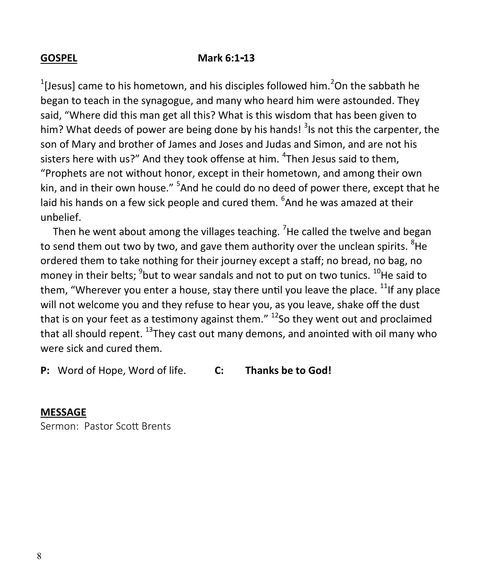#### **GOSPEL Mark 6:1-13**

<sup>1</sup>[Jesus] came to his hometown, and his disciples followed him.<sup>2</sup>On the sabbath he began to teach in the synagogue, and many who heard him were astounded. They said, "Where did this man get all this? What is this wisdom that has been given to him? What deeds of power are being done by his hands! <sup>3</sup>Is not this the carpenter, the son of Mary and brother of James and Joses and Judas and Simon, and are not his sisters here with us?" And they took offense at him. <sup>4</sup>Then Jesus said to them, "Prophets are not without honor, except in their hometown, and among their own kin, and in their own house." <sup>5</sup>And he could do no deed of power there, except that he laid his hands on a few sick people and cured them. <sup>6</sup>And he was amazed at their unbelief.

Then he went about among the villages teaching. <sup>7</sup>He called the twelve and began to send them out two by two, and gave them authority over the unclean spirits. <sup>8</sup>He ordered them to take nothing for their journey except a staff; no bread, no bag, no money in their belts; <sup>9</sup>but to wear sandals and not to put on two tunics. <sup>10</sup>He said to them, "Wherever you enter a house, stay there until you leave the place.  $^{11}$ If any place will not welcome you and they refuse to hear you, as you leave, shake off the dust that is on your feet as a testimony against them."  $^{12}$ So they went out and proclaimed that all should repent. <sup>13</sup>They cast out many demons, and anointed with oil many who were sick and cured them.

**P:** Word of Hope, Word of life. **C: Thanks be to God!**

#### **MESSAGE**

Sermon: Pastor Scott Brents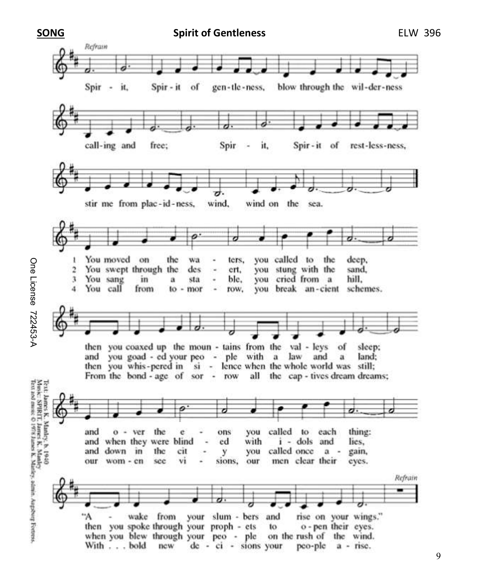

One License 722453-A One License 722453-A

9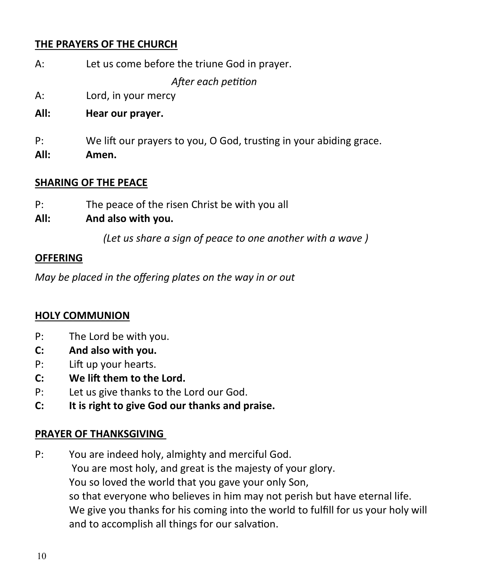## **THE PRAYERS OF THE CHURCH**

| A: | Let us come before the triune God in prayer. |
|----|----------------------------------------------|
|    | After each petition                          |

- A: Lord, in your mercy
- **All: Hear our prayer.**
- P: We lift our prayers to you, O God, trusting in your abiding grace.
- **All: Amen.**

#### **SHARING OF THE PEACE**

P: The peace of the risen Christ be with you all

## **All: And also with you.**

*(Let us share a sign of peace to one another with a wave )*

#### **OFFERING**

*May be placed in the offering plates on the way in or out* 

### **HOLY COMMUNION**

- P: The Lord be with you.
- **C: And also with you.**
- P: Lift up your hearts.
- **C: We lift them to the Lord.**
- P: Let us give thanks to the Lord our God.
- **C: It is right to give God our thanks and praise.**

### **PRAYER OF THANKSGIVING**

P: You are indeed holy, almighty and merciful God. You are most holy, and great is the majesty of your glory. You so loved the world that you gave your only Son, so that everyone who believes in him may not perish but have eternal life. We give you thanks for his coming into the world to fulfill for us your holy will and to accomplish all things for our salvation.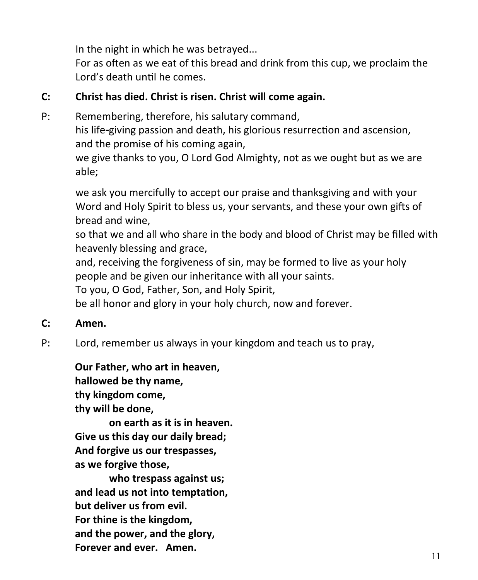In the night in which he was betrayed...

For as often as we eat of this bread and drink from this cup, we proclaim the Lord's death until he comes.

# **C: Christ has died. Christ is risen. Christ will come again.**

P: Remembering, therefore, his salutary command, his life-giving passion and death, his glorious resurrection and ascension, and the promise of his coming again,

we give thanks to you, O Lord God Almighty, not as we ought but as we are able;

we ask you mercifully to accept our praise and thanksgiving and with your Word and Holy Spirit to bless us, your servants, and these your own gifts of bread and wine,

so that we and all who share in the body and blood of Christ may be filled with heavenly blessing and grace,

and, receiving the forgiveness of sin, may be formed to live as your holy people and be given our inheritance with all your saints.

To you, O God, Father, Son, and Holy Spirit,

be all honor and glory in your holy church, now and forever.

- **C: Amen.**
- P: Lord, remember us always in your kingdom and teach us to pray,

**Our Father, who art in heaven, hallowed be thy name, thy kingdom come, thy will be done,**

**on earth as it is in heaven. Give us this day our daily bread; And forgive us our trespasses, as we forgive those,**

**who trespass against us; and lead us not into temptation, but deliver us from evil. For thine is the kingdom, and the power, and the glory, Forever and ever. Amen.**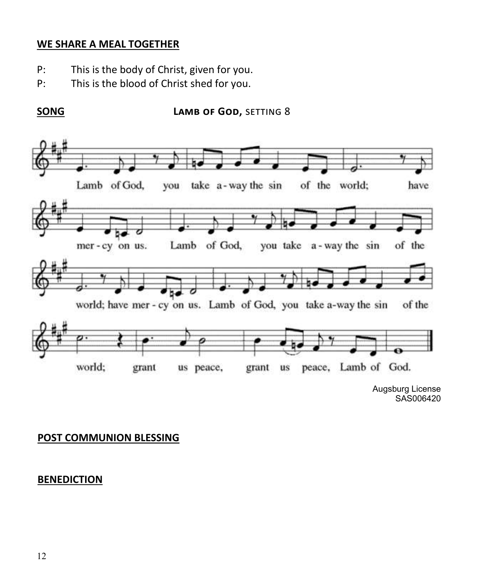#### **WE SHARE A MEAL TOGETHER**

- P: This is the body of Christ, given for you.
- P: This is the blood of Christ shed for you.

#### **SONG LAMB OF GOD, SETTING 8**



SAS006420

### **POST COMMUNION BLESSING**

### **BENEDICTION**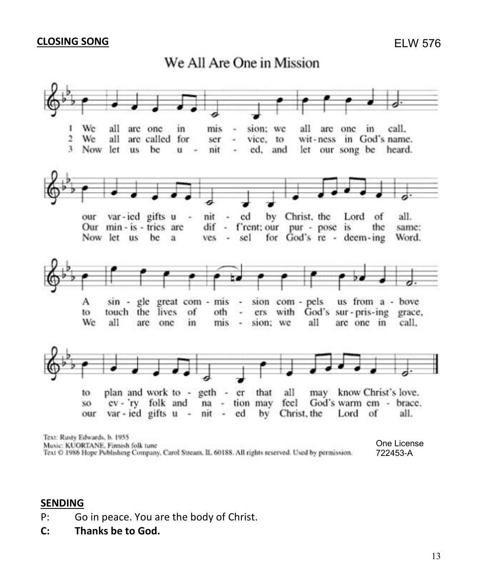#### **CLOSING SONG**





One License Music: KUORTANE, Finnish folk tune Text © 1986 Hope Publishing Company, Carol Stream, II, 60188. All rights reserved. Used by permission. 722453-A

#### **SENDING**

- P: Go in peace. You are the body of Christ.
- **C: Thanks be to God.**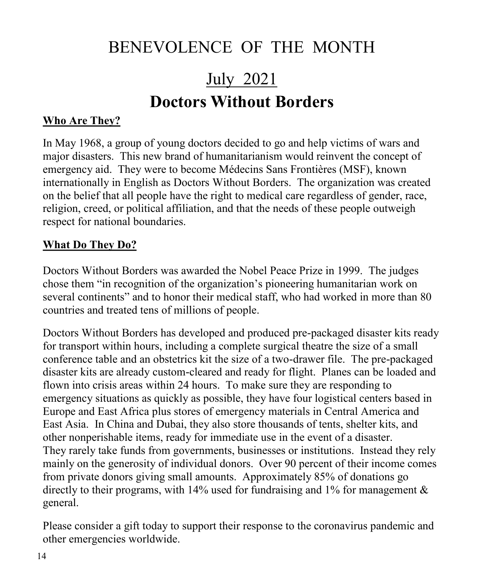# BENEVOLENCE OF THE MONTH

# July 2021 **Doctors Without Borders**

## **Who Are They?**

In May 1968, a group of young doctors decided to go and help victims of wars and major disasters. This new brand of humanitarianism would reinvent the concept of emergency aid. They were to become Médecins Sans Frontières (MSF), known internationally in English as Doctors Without Borders. The organization was created on the belief that all people have the right to medical care regardless of gender, race, religion, creed, or political affiliation, and that the needs of these people outweigh respect for national boundaries.

## **What Do They Do?**

Doctors Without Borders was awarded the Nobel Peace Prize in 1999. The judges chose them "in recognition of the organization's pioneering humanitarian work on several continents" and to honor their medical staff, who had worked in more than 80 countries and treated tens of millions of people.

Doctors Without Borders has developed and produced pre-packaged disaster kits ready for transport within hours, including a complete surgical theatre the size of a small conference table and an obstetrics kit the size of a two-drawer file. The pre-packaged disaster kits are already custom-cleared and ready for flight. Planes can be loaded and flown into crisis areas within 24 hours. To make sure they are responding to emergency situations as quickly as possible, they have four logistical centers based in Europe and East Africa plus stores of emergency materials in Central America and East Asia. In China and Dubai, they also store thousands of tents, shelter kits, and other nonperishable items, ready for immediate use in the event of a disaster. They rarely take funds from governments, businesses or institutions. Instead they rely mainly on the generosity of individual donors. Over 90 percent of their income comes from private donors giving small amounts. Approximately 85% of donations go directly to their programs, with 14% used for fundraising and 1% for management  $\&$ general.

Please consider a gift today to support their response to the coronavirus pandemic and other emergencies worldwide.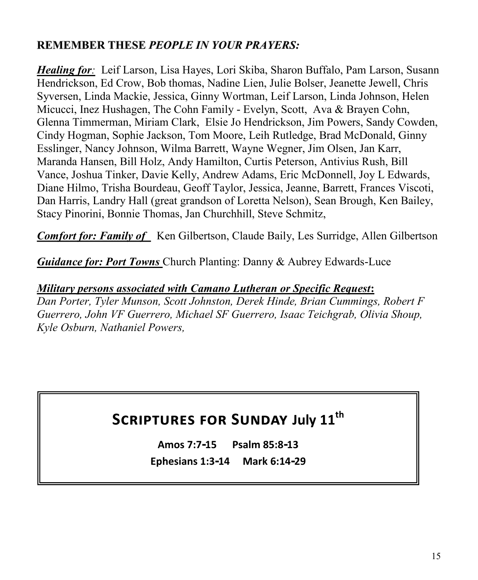# **REMEMBER THESE** *PEOPLE IN YOUR PRAYERS:*

*Healing for:* Leif Larson, Lisa Hayes, Lori Skiba, Sharon Buffalo, Pam Larson, Susann Hendrickson, Ed Crow, Bob thomas, Nadine Lien, Julie Bolser, Jeanette Jewell, Chris Syversen, Linda Mackie, Jessica, Ginny Wortman, Leif Larson, Linda Johnson, Helen Micucci, Inez Hushagen, The Cohn Family - Evelyn, Scott, Ava & Brayen Cohn, Glenna Timmerman, Miriam Clark, Elsie Jo Hendrickson, Jim Powers, Sandy Cowden, Cindy Hogman, Sophie Jackson, Tom Moore, Leih Rutledge, Brad McDonald, Ginny Esslinger, Nancy Johnson, Wilma Barrett, Wayne Wegner, Jim Olsen, Jan Karr, Maranda Hansen, Bill Holz, Andy Hamilton, Curtis Peterson, Antivius Rush, Bill Vance, Joshua Tinker, Davie Kelly, Andrew Adams, Eric McDonnell, Joy L Edwards, Diane Hilmo, Trisha Bourdeau, Geoff Taylor, Jessica, Jeanne, Barrett, Frances Viscoti, Dan Harris, Landry Hall (great grandson of Loretta Nelson), Sean Brough, Ken Bailey, Stacy Pinorini, Bonnie Thomas, Jan Churchhill, Steve Schmitz,

*Comfort for: Family of* Ken Gilbertson, Claude Baily, Les Surridge, Allen Gilbertson

*Guidance for: Port Towns* Church Planting: Danny & Aubrey Edwards-Luce

*Military persons associated with Camano Lutheran or Specific Request***:**  *Dan Porter, Tyler Munson, Scott Johnston, Derek Hinde, Brian Cummings, Robert F Guerrero, John VF Guerrero, Michael SF Guerrero, Isaac Teichgrab, Olivia Shoup, Kyle Osburn, Nathaniel Powers,* 

# **Scriptures for Sunday July 11th**

**Amos 7:7-15 Psalm 85:8-13 Ephesians 1:3-14 Mark 6:14-29**